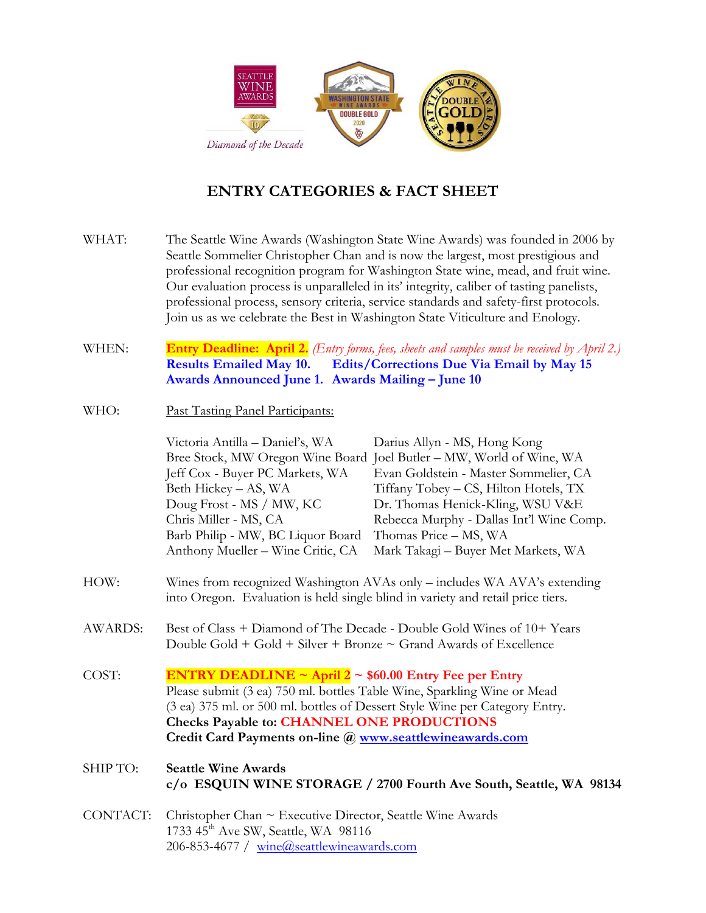

#### **ENTRY CATEGORIES & FACT SHEET**

- WHAT: The Seattle Wine Awards (Washington State Wine Awards) was founded in 2006 by Seattle Sommelier Christopher Chan and is now the largest, most prestigious and professional recognition program for Washington State wine, mead, and fruit wine. Our evaluation process is unparalleled in its' integrity, caliber of tasting panelists, professional process, sensory criteria, service standards and safety-first protocols. Join us as we celebrate the Best in Washington State Viticulture and Enology.
- WHEN: **Entry Deadline: April 2.** *(Entry forms, fees, sheets and samples must be received by April 2.)* **Results Emailed May 10. Edits/Corrections Due Via Email by May 15 Awards Announced June 1. Awards Mailing – June 10**
- WHO: Past Tasting Panel Participants:

|          | Victoria Antilla - Daniel's, WA                                                                                                                             | Darius Allyn - MS, Hong Kong                                         |  |
|----------|-------------------------------------------------------------------------------------------------------------------------------------------------------------|----------------------------------------------------------------------|--|
|          |                                                                                                                                                             | Bree Stock, MW Oregon Wine Board Joel Butler – MW, World of Wine, WA |  |
|          | Jeff Cox - Buyer PC Markets, WA                                                                                                                             | Evan Goldstein - Master Sommelier, CA                                |  |
|          | Beth Hickey - AS, WA                                                                                                                                        | Tiffany Tobey - CS, Hilton Hotels, TX                                |  |
|          | Doug Frost - MS / MW, KC                                                                                                                                    | Dr. Thomas Henick-Kling, WSU V&E                                     |  |
|          | Chris Miller - MS, CA                                                                                                                                       | Rebecca Murphy - Dallas Int'l Wine Comp.                             |  |
|          | Barb Philip - MW, BC Liquor Board                                                                                                                           | Thomas Price – MS, WA                                                |  |
|          | Anthony Mueller - Wine Critic, CA                                                                                                                           | Mark Takagi - Buyer Met Markets, WA                                  |  |
| HOW:     | Wines from recognized Washington AVAs only – includes WA AVA's extending<br>into Oregon. Evaluation is held single blind in variety and retail price tiers. |                                                                      |  |
| AWARDS:  | Best of Class + Diamond of The Decade - Double Gold Wines of 10+ Years<br>Double Gold + Gold + Silver + Bronze $\sim$ Grand Awards of Excellence            |                                                                      |  |
| COST:    | <b>ENTRY DEADLINE ~ April 2 ~ \$60.00 Entry Fee per Entry</b>                                                                                               |                                                                      |  |
|          | Please submit (3 ea) 750 ml. bottles Table Wine, Sparkling Wine or Mead                                                                                     |                                                                      |  |
|          | (3 ea) 375 ml. or 500 ml. bottles of Dessert Style Wine per Category Entry.                                                                                 |                                                                      |  |
|          | <b>Checks Payable to: CHANNEL ONE PRODUCTIONS</b>                                                                                                           |                                                                      |  |
|          | Credit Card Payments on-line @ www.seattlewineawards.com                                                                                                    |                                                                      |  |
| SHIP TO: | <b>Seattle Wine Awards</b>                                                                                                                                  | c/o ESQUIN WINE STORAGE / 2700 Fourth Ave South, Seattle, WA 98134   |  |

CONTACT: Christopher Chan ~ Executive Director, Seattle Wine Awards 1733 45<sup>th</sup> Ave SW, Seattle, WA 98116 206-853-4677 / [wine@seattlewineawards.com](mailto:wine@seattlewineawards.com)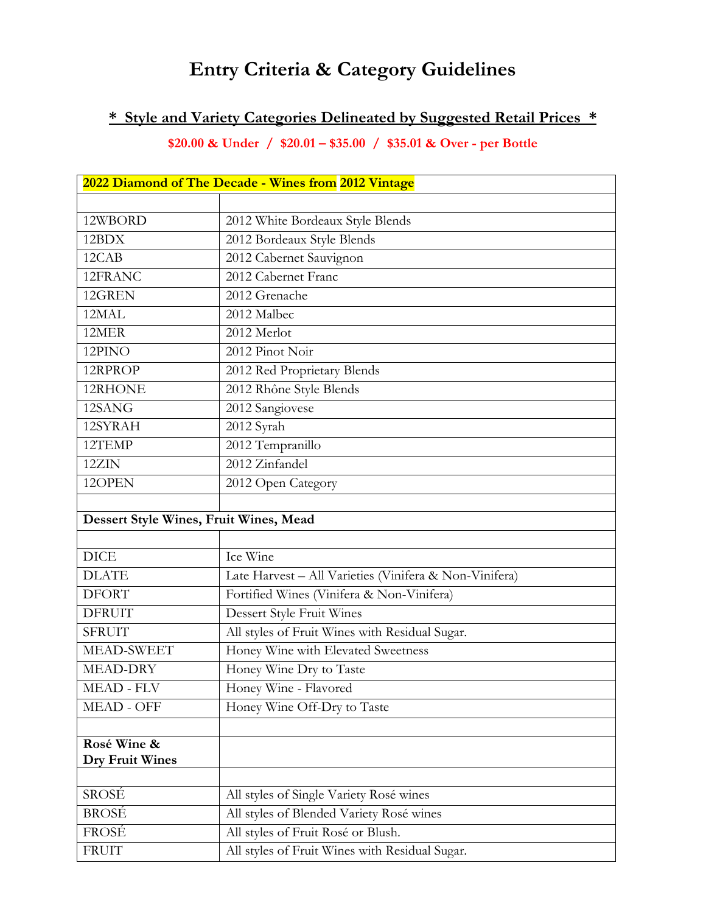# **Entry Criteria & Category Guidelines**

### **\* Style and Variety Categories Delineated by Suggested Retail Prices \***

**\$20.00 & Under / \$20.01 – \$35.00 / \$35.01 & Over - per Bottle**

| 2022 Diamond of The Decade - Wines from 2012 Vintage |                                                        |  |
|------------------------------------------------------|--------------------------------------------------------|--|
|                                                      |                                                        |  |
| 12WBORD                                              | 2012 White Bordeaux Style Blends                       |  |
| 12BDX                                                | 2012 Bordeaux Style Blends                             |  |
| 12CAB                                                | 2012 Cabernet Sauvignon                                |  |
| 12FRANC                                              | 2012 Cabernet Franc                                    |  |
| 12GREN                                               | 2012 Grenache                                          |  |
| 12MAL                                                | 2012 Malbec                                            |  |
| 12MER                                                | 2012 Merlot                                            |  |
| 12PINO                                               | 2012 Pinot Noir                                        |  |
| 12RPROP                                              | 2012 Red Proprietary Blends                            |  |
| 12RHONE                                              | 2012 Rhône Style Blends                                |  |
| 12SANG                                               | 2012 Sangiovese                                        |  |
| 12SYRAH                                              | 2012 Syrah                                             |  |
| 12TEMP                                               | 2012 Tempranillo                                       |  |
| 12ZIN                                                | 2012 Zinfandel                                         |  |
| 12OPEN                                               | 2012 Open Category                                     |  |
|                                                      |                                                        |  |
| Dessert Style Wines, Fruit Wines, Mead               |                                                        |  |
|                                                      |                                                        |  |
| <b>DICE</b>                                          | Ice Wine                                               |  |
| <b>DLATE</b>                                         | Late Harvest - All Varieties (Vinifera & Non-Vinifera) |  |
| <b>DFORT</b>                                         | Fortified Wines (Vinifera & Non-Vinifera)              |  |
| <b>DFRUIT</b>                                        | Dessert Style Fruit Wines                              |  |
| <b>SFRUIT</b>                                        | All styles of Fruit Wines with Residual Sugar.         |  |
| MEAD-SWEET                                           | Honey Wine with Elevated Sweetness                     |  |
| MEAD-DRY                                             | Honey Wine Dry to Taste                                |  |
| <b>MEAD - FLV</b>                                    | Honey Wine - Flavored                                  |  |
| MEAD - OFF                                           | Honey Wine Off-Dry to Taste                            |  |
| Rosé Wine &                                          |                                                        |  |
| <b>Dry Fruit Wines</b>                               |                                                        |  |
| SROSÉ                                                | All styles of Single Variety Rosé wines                |  |
| <b>BROSÉ</b>                                         | All styles of Blended Variety Rosé wines               |  |
| FROSÉ                                                | All styles of Fruit Rosé or Blush.                     |  |
| <b>FRUIT</b>                                         | All styles of Fruit Wines with Residual Sugar.         |  |
|                                                      |                                                        |  |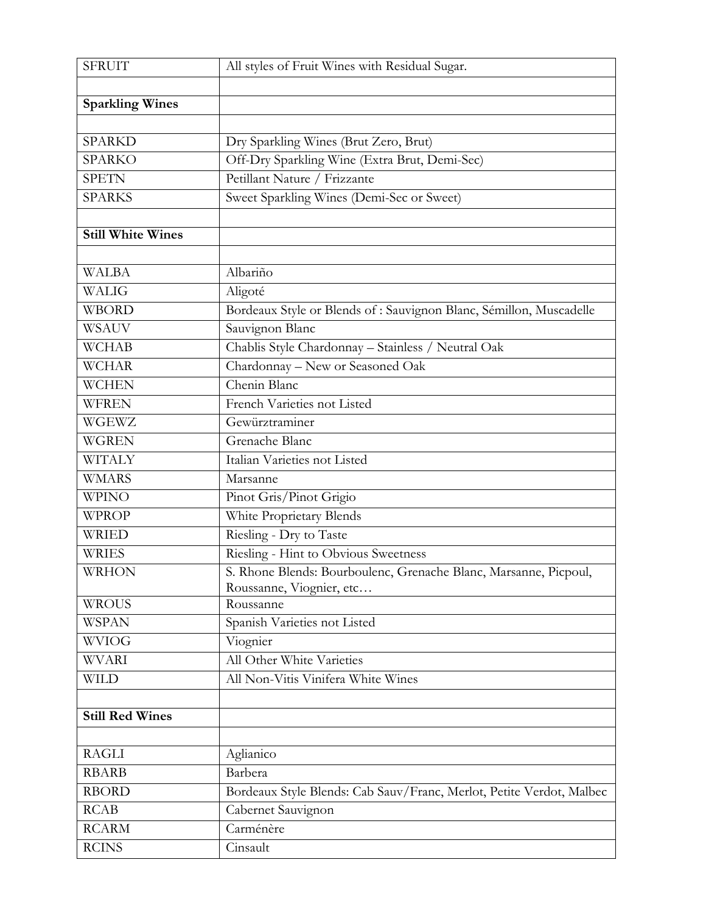| <b>SFRUIT</b>            | All styles of Fruit Wines with Residual Sugar.                       |
|--------------------------|----------------------------------------------------------------------|
|                          |                                                                      |
| <b>Sparkling Wines</b>   |                                                                      |
|                          |                                                                      |
| <b>SPARKD</b>            | Dry Sparkling Wines (Brut Zero, Brut)                                |
| <b>SPARKO</b>            | Off-Dry Sparkling Wine (Extra Brut, Demi-Sec)                        |
| <b>SPETN</b>             | Petillant Nature / Frizzante                                         |
| <b>SPARKS</b>            | Sweet Sparkling Wines (Demi-Sec or Sweet)                            |
|                          |                                                                      |
| <b>Still White Wines</b> |                                                                      |
|                          |                                                                      |
| <b>WALBA</b>             | Albariño                                                             |
| WALIG                    | Aligoté                                                              |
| <b>WBORD</b>             | Bordeaux Style or Blends of : Sauvignon Blanc, Sémillon, Muscadelle  |
| <b>WSAUV</b>             | Sauvignon Blanc                                                      |
| <b>WCHAB</b>             | Chablis Style Chardonnay - Stainless / Neutral Oak                   |
| <b>WCHAR</b>             | Chardonnay - New or Seasoned Oak                                     |
| <b>WCHEN</b>             | Chenin Blanc                                                         |
| <b>WFREN</b>             | French Varieties not Listed                                          |
| WGEWZ                    | Gewürztraminer                                                       |
| <b>WGREN</b>             | Grenache Blanc                                                       |
| <b>WITALY</b>            | Italian Varieties not Listed                                         |
| <b>WMARS</b>             | Marsanne                                                             |
| <b>WPINO</b>             | Pinot Gris/Pinot Grigio                                              |
| <b>WPROP</b>             | White Proprietary Blends                                             |
| <b>WRIED</b>             | Riesling - Dry to Taste                                              |
| <b>WRIES</b>             | Riesling - Hint to Obvious Sweetness                                 |
| <b>WRHON</b>             | S. Rhone Blends: Bourboulenc, Grenache Blanc, Marsanne, Picpoul,     |
|                          | Roussanne, Viognier, etc                                             |
| <b>WROUS</b>             | Roussanne                                                            |
| <b>WSPAN</b>             | Spanish Varieties not Listed                                         |
| <b>WVIOG</b>             | Viognier                                                             |
| <b>WVARI</b>             | All Other White Varieties                                            |
| <b>WILD</b>              | All Non-Vitis Vinifera White Wines                                   |
|                          |                                                                      |
| <b>Still Red Wines</b>   |                                                                      |
|                          |                                                                      |
| <b>RAGLI</b>             | Aglianico                                                            |
| <b>RBARB</b>             | Barbera                                                              |
| <b>RBORD</b>             | Bordeaux Style Blends: Cab Sauv/Franc, Merlot, Petite Verdot, Malbec |
| RCAB                     | Cabernet Sauvignon                                                   |
| <b>RCARM</b>             | Carménère                                                            |
| <b>RCINS</b>             | Cinsault                                                             |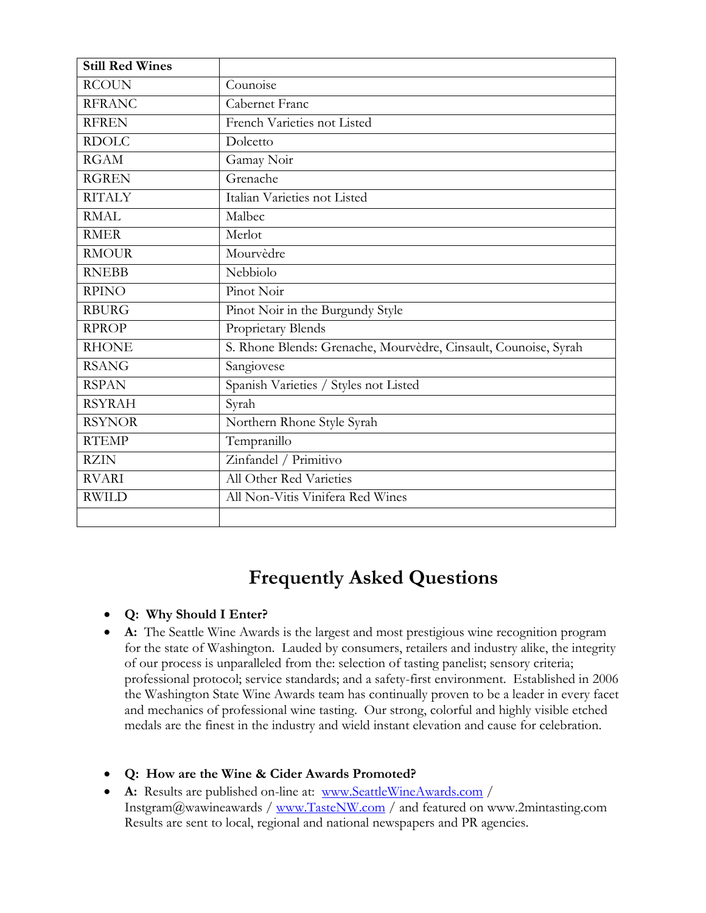| <b>Still Red Wines</b> |                                                                 |
|------------------------|-----------------------------------------------------------------|
| <b>RCOUN</b>           | Counoise                                                        |
| <b>RFRANC</b>          | Cabernet Franc                                                  |
| <b>RFREN</b>           | French Varieties not Listed                                     |
| <b>RDOLC</b>           | Dolcetto                                                        |
| <b>RGAM</b>            | Gamay Noir                                                      |
| <b>RGREN</b>           | Grenache                                                        |
| <b>RITALY</b>          | Italian Varieties not Listed                                    |
| <b>RMAL</b>            | Malbec                                                          |
| <b>RMER</b>            | Merlot                                                          |
| <b>RMOUR</b>           | Mourvèdre                                                       |
| <b>RNEBB</b>           | Nebbiolo                                                        |
| <b>RPINO</b>           | Pinot Noir                                                      |
| <b>RBURG</b>           | Pinot Noir in the Burgundy Style                                |
| <b>RPROP</b>           | Proprietary Blends                                              |
| <b>RHONE</b>           | S. Rhone Blends: Grenache, Mourvèdre, Cinsault, Counoise, Syrah |
| <b>RSANG</b>           | Sangiovese                                                      |
| <b>RSPAN</b>           | Spanish Varieties / Styles not Listed                           |
| <b>RSYRAH</b>          | Syrah                                                           |
| <b>RSYNOR</b>          | Northern Rhone Style Syrah                                      |
| <b>RTEMP</b>           | Tempranillo                                                     |
| <b>RZIN</b>            | Zinfandel / Primitivo                                           |
| <b>RVARI</b>           | All Other Red Varieties                                         |
| <b>RWILD</b>           | All Non-Vitis Vinifera Red Wines                                |
|                        |                                                                 |

## **Frequently Asked Questions**

#### **Q: Why Should I Enter?**

- **A:** The Seattle Wine Awards is the largest and most prestigious wine recognition program for the state of Washington. Lauded by consumers, retailers and industry alike, the integrity of our process is unparalleled from the: selection of tasting panelist; sensory criteria; professional protocol; service standards; and a safety-first environment. Established in 2006 the Washington State Wine Awards team has continually proven to be a leader in every facet and mechanics of professional wine tasting. Our strong, colorful and highly visible etched medals are the finest in the industry and wield instant elevation and cause for celebration.
- **Q: How are the Wine & Cider Awards Promoted?**
- **A:** Results are published on-line at: [www.SeattleWineAwards.com](http://www.seattlewineawards.com/) / Instgram@wawineawards / [www.TasteNW.com](http://www.tastenw.com/) / and featured on www.2mintasting.com Results are sent to local, regional and national newspapers and PR agencies.